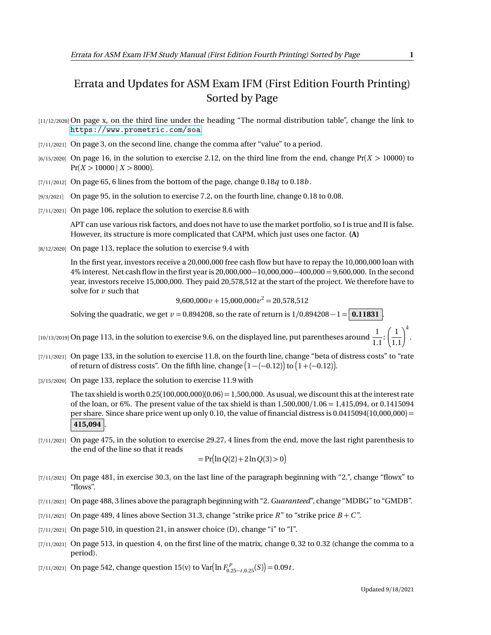## Errata and Updates for ASM Exam IFM (First Edition Fourth Printing) Sorted by Page

- [11/12/2020] On page x, on the third line under the heading "The normal distribution table", change the link to <https://www.prometric.com/soa>.
- $[7/11/2021]$  On page 3, on the second line, change the comma after "value" to a period.
- $[6/15/2020]$  On page 16, in the solution to exercise 2.12, on the third line from the end, change  $Pr(X > 10000)$  to  $Pr(X > 10000 \mid X > 8000)$ .
- $[7/11/2012]$  On page 65, 6 lines from the bottom of the page, change 0.18*q* to 0.18*b*.
- [9/3/2021] On page 95, in the solution to exercise 7.2, on the fourth line, change 0.18 to 0.08.
- [7/11/2021] On page 106, replace the solution to exercise 8.6 with

APT can use various risk factors, and does not have to use the market portfolio, so I is true and II is false. However, its structure is more complicated that CAPM, which just uses one factor. **(A)**

[8/12/2020] On page 113, replace the solution to exercise 9.4 with

In the first year, investors receive a 20,000,000 free cash flow but have to repay the 10,000,000 loan with 4% interest. Net cash flow in the first year is 20,000,000−10,000,000−400,000 = 9,600,000. In the second year, investors receive 15,000,000. They paid 20,578,512 at the start of the project. We therefore have to solve for *v* such that

 $9,600,000 \nu + 15,000,000 \nu^2 = 20,578,512$ 

Solving the quadratic, we get  $v = 0.894208$ , so the rate of return is  $1/0.894208 - 1 = 0.11831$ .

[10/13/2019] On page 113, in the solution to exercise 9.6, on the displayed line, put parentheses around  $\frac{1}{1}$  $\overline{1.1}$  $\left(\frac{1}{1.1}\right)^k$ .

- [7/11/2021] On page 133, in the solution to exercise 11.8, on the fourth line, change "beta of distress costs" to "rate of return of distress costs". On the fifth line, change  $\big(1-(-0.12)\big)$  to  $\big(1+(-0.12)\big)$ .
- [3/15/2020] On page 133, replace the solution to exercise 11.9 with

The tax shield is worth  $0.25(100,000,000)(0.06) = 1,500,000$ . As usual, we discount this at the interest rate of the loan, or 6%. The present value of the tax shield is than 1,500,000*/*1.06 = 1,415,094, or 0.1415094 per share. Since share price went up only 0.10, the value of financial distress is 0.0415094(10,000,000) = **415,094** .

[7/11/2021] On page 475, in the solution to exercise 29.27, 4 lines from the end, move the last right parenthesis to the end of the line so that it reads

$$
= \Pr(\ln Q(2) + 2\ln Q(3) > 0)
$$

- [7/11/2021] On page 481, in exercise 30.3, on the last line of the paragraph beginning with "2.", change "flowx" to "flows".
- [7/11/2021] On page 488, 3 lines above the paragraph beginning with "2. *Guaranteed*", change "MDBG" to "GMDB".
- [7/11/2021] On page 489, 4 lines above Section 31.3, change "strike price  $R$ " to "strike price  $B + C$ ".
- [7/11/2021] On page 510, in question 21, in answer choice (D), change "i" to "I".
- $[7/11/2021]$  On page 513, in question 4, on the first line of the matrix, change 0, 32 to 0.32 (change the comma to a period).

[7/11/2021] On page 542, change question 15(v) to Var $\left(\ln F_{0.25-t,0.25}^P(S)\right) = 0.09t$ .